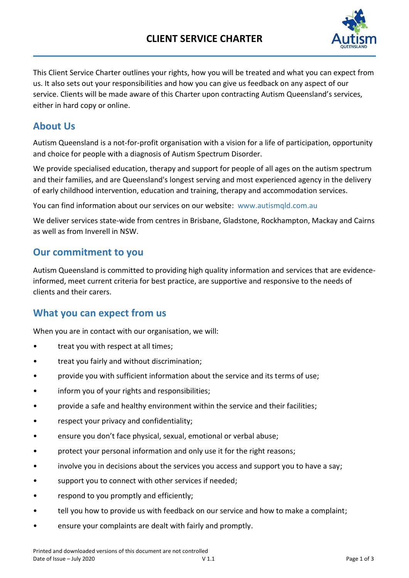

This Client Service Charter outlines your rights, how you will be treated and what you can expect from us. It also sets out your responsibilities and how you can give us feedback on any aspect of our service. Clients will be made aware of this Charter upon contracting Autism Queensland's services, either in hard copy or online.

## **About Us**

Autism Queensland is a not-for-profit organisation with a vision for a life of participation, opportunity and choice for people with a diagnosis of Autism Spectrum Disorder.

We provide specialised education, therapy and support for people of all ages on the autism spectrum and their families, and are Queensland's longest serving and most experienced agency in the delivery of early childhood intervention, education and training, therapy and accommodation services.

You can find information about our services on our website: <www.autismqld.com.au>

We deliver services state-wide from centres in Brisbane, Gladstone, Rockhampton, Mackay and Cairns as well as from Inverell in NSW.

# **Our commitment to you**

Autism Queensland is committed to providing high quality information and services that are evidenceinformed, meet current criteria for best practice, are supportive and responsive to the needs of clients and their carers.

# **What you can expect from us**

When you are in contact with our organisation, we will:

- treat you with respect at all times;
- treat you fairly and without discrimination;
- provide you with sufficient information about the service and its terms of use;
- inform you of your rights and responsibilities;
- provide a safe and healthy environment within the service and their facilities;
- respect your privacy and confidentiality;
- ensure you don't face physical, sexual, emotional or verbal abuse;
- protect your personal information and only use it for the right reasons;
- involve you in decisions about the services you access and support you to have a say;
- support you to connect with other services if needed;
- respond to you promptly and efficiently;
- tell you how to provide us with feedback on our service and how to make a complaint;
- ensure your complaints are dealt with fairly and promptly.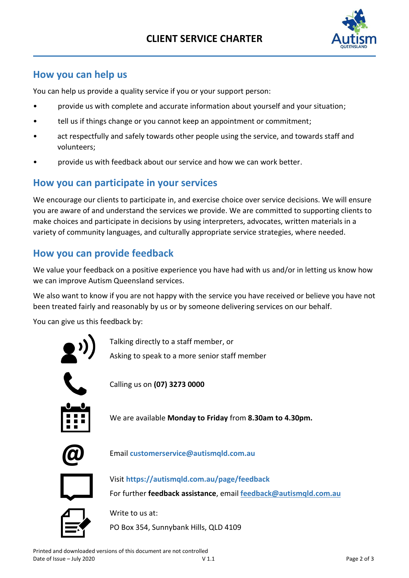# **CLIENT SERVICE CHARTER**



# **How you can help us**

You can help us provide a quality service if you or your support person:

- provide us with complete and accurate information about yourself and your situation;
- tell us if things change or you cannot keep an appointment or commitment;
- act respectfully and safely towards other people using the service, and towards staff and volunteers;
- provide us with feedback about our service and how we can work better.

### **How you can participate in your services**

We encourage our clients to participate in, and exercise choice over service decisions. We will ensure you are aware of and understand the services we provide. We are committed to supporting clients to make choices and participate in decisions by using interpreters, advocates, written materials in a variety of community languages, and culturally appropriate service strategies, where needed.

### **How you can provide feedback**

We value your feedback on a positive experience you have had with us and/or in letting us know how we can improve Autism Queensland services.

We also want to know if you are not happy with the service you have received or believe you have not been treated fairly and reasonably by us or by someone delivering services on our behalf.

You can give us this feedback by:



Talking directly to a staff member, or

Asking to speak to a more senior staff member



Calling us on **(07) 3273 0000**

We are available **Monday to Friday** from **8.30am to 4.30pm.**



**@** Email **[customerservice@autismqld.com.au](mailto:customerservice@autismqld.com.au)**



Visit **<https://autismqld.com.au/page/feedback>** For further **feedback assistance**, email **[feedback@autismqld.com.au](mailto:feedback@autismqld.com.au)**



Write to us at:

PO Box 354, Sunnybank Hills, QLD 4109